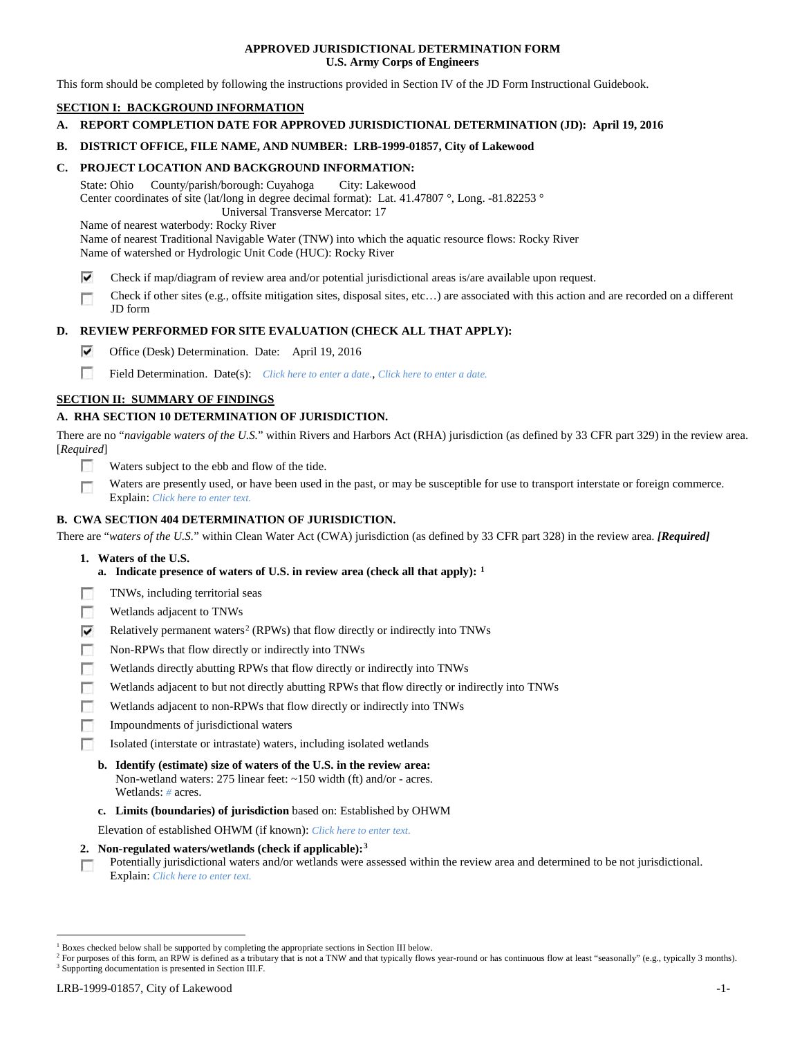## **APPROVED JURISDICTIONAL DETERMINATION FORM U.S. Army Corps of Engineers**

This form should be completed by following the instructions provided in Section IV of the JD Form Instructional Guidebook.

## **SECTION I: BACKGROUND INFORMATION**

**A. REPORT COMPLETION DATE FOR APPROVED JURISDICTIONAL DETERMINATION (JD): April 19, 2016**

## **B. DISTRICT OFFICE, FILE NAME, AND NUMBER: LRB-1999-01857, City of Lakewood**

### **C. PROJECT LOCATION AND BACKGROUND INFORMATION:**

State: Ohio County/parish/borough: Cuyahoga City: Lakewood Center coordinates of site (lat/long in degree decimal format): Lat. 41.47807 °, Long. -81.82253 ° Universal Transverse Mercator: 17

Name of nearest waterbody: Rocky River

Name of nearest Traditional Navigable Water (TNW) into which the aquatic resource flows: Rocky River Name of watershed or Hydrologic Unit Code (HUC): Rocky River

- ⊽ Check if map/diagram of review area and/or potential jurisdictional areas is/are available upon request.
- Check if other sites (e.g., offsite mitigation sites, disposal sites, etc…) are associated with this action and are recorded on a different п JD form

## **D. REVIEW PERFORMED FOR SITE EVALUATION (CHECK ALL THAT APPLY):**

- ⊽ Office (Desk) Determination. Date: April 19, 2016
- m Field Determination. Date(s): *Click here to enter a date.*, *Click here to enter a date.*

## **SECTION II: SUMMARY OF FINDINGS**

## **A. RHA SECTION 10 DETERMINATION OF JURISDICTION.**

There are no "*navigable waters of the U.S.*" within Rivers and Harbors Act (RHA) jurisdiction (as defined by 33 CFR part 329) in the review area. [*Required*]

- n Waters subject to the ebb and flow of the tide.
- Waters are presently used, or have been used in the past, or may be susceptible for use to transport interstate or foreign commerce. п Explain: *Click here to enter text.*

## **B. CWA SECTION 404 DETERMINATION OF JURISDICTION.**

There are "*waters of the U.S.*" within Clean Water Act (CWA) jurisdiction (as defined by 33 CFR part 328) in the review area. *[Required]*

- **1. Waters of the U.S.**
	- **a. Indicate presence of waters of U.S. in review area (check all that apply): [1](#page-0-0)**
- Е TNWs, including territorial seas
- п Wetlands adjacent to TNWs
- Relatively permanent waters<sup>[2](#page-0-1)</sup> (RPWs) that flow directly or indirectly into TNWs ⊽
- г Non-RPWs that flow directly or indirectly into TNWs
- п Wetlands directly abutting RPWs that flow directly or indirectly into TNWs
- Wetlands adjacent to but not directly abutting RPWs that flow directly or indirectly into TNWs г
- Wetlands adjacent to non-RPWs that flow directly or indirectly into TNWs г
- п Impoundments of jurisdictional waters
- Isolated (interstate or intrastate) waters, including isolated wetlands n.
	- **b. Identify (estimate) size of waters of the U.S. in the review area:** Non-wetland waters: 275 linear feet: ~150 width (ft) and/or - acres. Wetlands: *#* acres.
	- **c. Limits (boundaries) of jurisdiction** based on: Established by OHWM

Elevation of established OHWM (if known): *Click here to enter text.*

- **2. Non-regulated waters/wetlands (check if applicable):[3](#page-0-2)**
- Potentially jurisdictional waters and/or wetlands were assessed within the review area and determined to be not jurisdictional. п Explain: *Click here to enter text.*

<span id="page-0-0"></span><sup>&</sup>lt;sup>1</sup> Boxes checked below shall be supported by completing the appropriate sections in Section III below.

<span id="page-0-2"></span><span id="page-0-1"></span><sup>&</sup>lt;sup>2</sup> For purposes of this form, an RPW is defined as a tributary that is not a TNW and that typically flows year-round or has continuous flow at least "seasonally" (e.g., typically 3 months). <sup>3</sup> Supporting documentation is presented in Section III.F.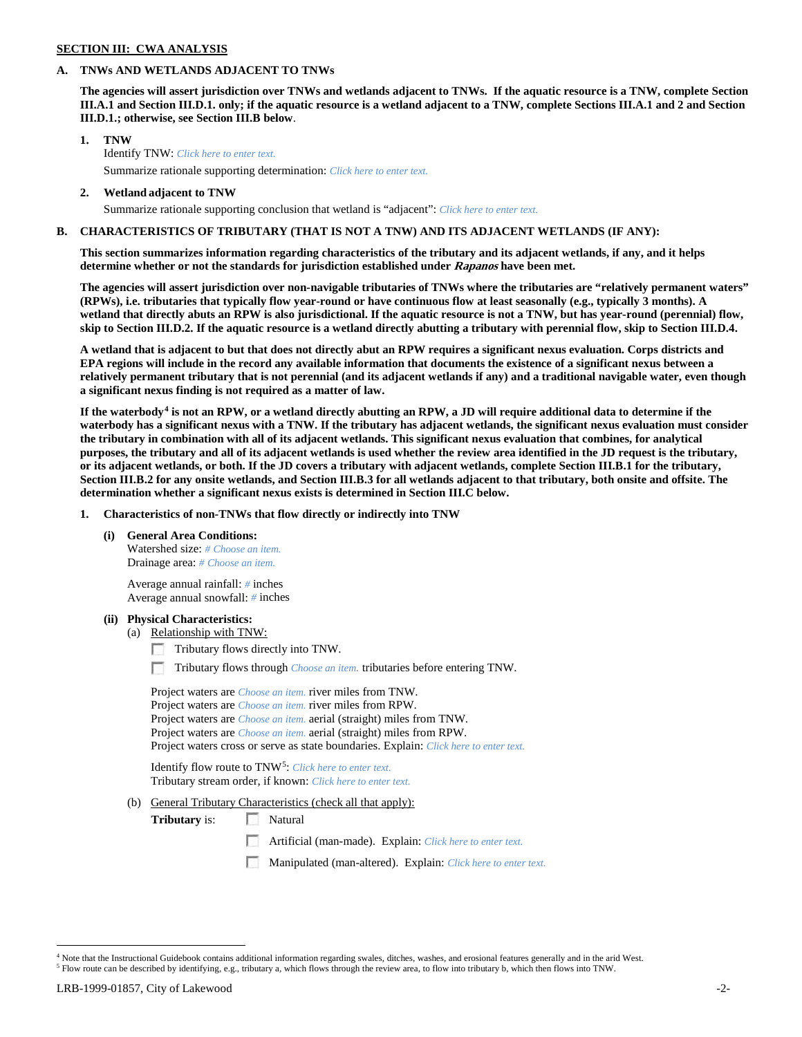## **SECTION III: CWA ANALYSIS**

#### **A. TNWs AND WETLANDS ADJACENT TO TNWs**

**The agencies will assert jurisdiction over TNWs and wetlands adjacent to TNWs. If the aquatic resource is a TNW, complete Section III.A.1 and Section III.D.1. only; if the aquatic resource is a wetland adjacent to a TNW, complete Sections III.A.1 and 2 and Section III.D.1.; otherwise, see Section III.B below**.

- **1. TNW**  Identify TNW: *Click here to enter text.*
	- Summarize rationale supporting determination: *Click here to enter text.*
- **2. Wetland adjacent to TNW** Summarize rationale supporting conclusion that wetland is "adjacent": *Click here to enter text.*

## **B. CHARACTERISTICS OF TRIBUTARY (THAT IS NOT A TNW) AND ITS ADJACENT WETLANDS (IF ANY):**

**This section summarizes information regarding characteristics of the tributary and its adjacent wetlands, if any, and it helps determine whether or not the standards for jurisdiction established under Rapanos have been met.** 

**The agencies will assert jurisdiction over non-navigable tributaries of TNWs where the tributaries are "relatively permanent waters" (RPWs), i.e. tributaries that typically flow year-round or have continuous flow at least seasonally (e.g., typically 3 months). A wetland that directly abuts an RPW is also jurisdictional. If the aquatic resource is not a TNW, but has year-round (perennial) flow, skip to Section III.D.2. If the aquatic resource is a wetland directly abutting a tributary with perennial flow, skip to Section III.D.4.**

**A wetland that is adjacent to but that does not directly abut an RPW requires a significant nexus evaluation. Corps districts and EPA regions will include in the record any available information that documents the existence of a significant nexus between a relatively permanent tributary that is not perennial (and its adjacent wetlands if any) and a traditional navigable water, even though a significant nexus finding is not required as a matter of law.**

**If the waterbody[4](#page-1-0) is not an RPW, or a wetland directly abutting an RPW, a JD will require additional data to determine if the waterbody has a significant nexus with a TNW. If the tributary has adjacent wetlands, the significant nexus evaluation must consider the tributary in combination with all of its adjacent wetlands. This significant nexus evaluation that combines, for analytical purposes, the tributary and all of its adjacent wetlands is used whether the review area identified in the JD request is the tributary, or its adjacent wetlands, or both. If the JD covers a tributary with adjacent wetlands, complete Section III.B.1 for the tributary, Section III.B.2 for any onsite wetlands, and Section III.B.3 for all wetlands adjacent to that tributary, both onsite and offsite. The determination whether a significant nexus exists is determined in Section III.C below.**

**1. Characteristics of non-TNWs that flow directly or indirectly into TNW**

**(i) General Area Conditions:**

Watershed size: *# Choose an item.* Drainage area: *# Choose an item.*

Average annual rainfall: *#* inches Average annual snowfall: *#* inches

#### **(ii) Physical Characteristics:**

- (a) Relationship with TNW:
	- Tributary flows directly into TNW.

n Tributary flows through *Choose an item.* tributaries before entering TNW.

Project waters are *Choose an item.* river miles from TNW. Project waters are *Choose an item.* river miles from RPW. Project waters are *Choose an item.* aerial (straight) miles from TNW. Project waters are *Choose an item.* aerial (straight) miles from RPW. Project waters cross or serve as state boundaries. Explain: *Click here to enter text.*

Identify flow route to TNW[5:](#page-1-1) *Click here to enter text.* Tributary stream order, if known: *Click here to enter text.*

(b) General Tributary Characteristics (check all that apply):

**Tributary** is: Natural

- Artificial (man-made). Explain: *Click here to enter text.*
- Manipulated (man-altered). Explain: *Click here to enter text.*

<span id="page-1-0"></span><sup>&</sup>lt;sup>4</sup> Note that the Instructional Guidebook contains additional information regarding swales, ditches, washes, and erosional features generally and in the arid West.

<span id="page-1-1"></span><sup>5</sup> Flow route can be described by identifying, e.g., tributary a, which flows through the review area, to flow into tributary b, which then flows into TNW.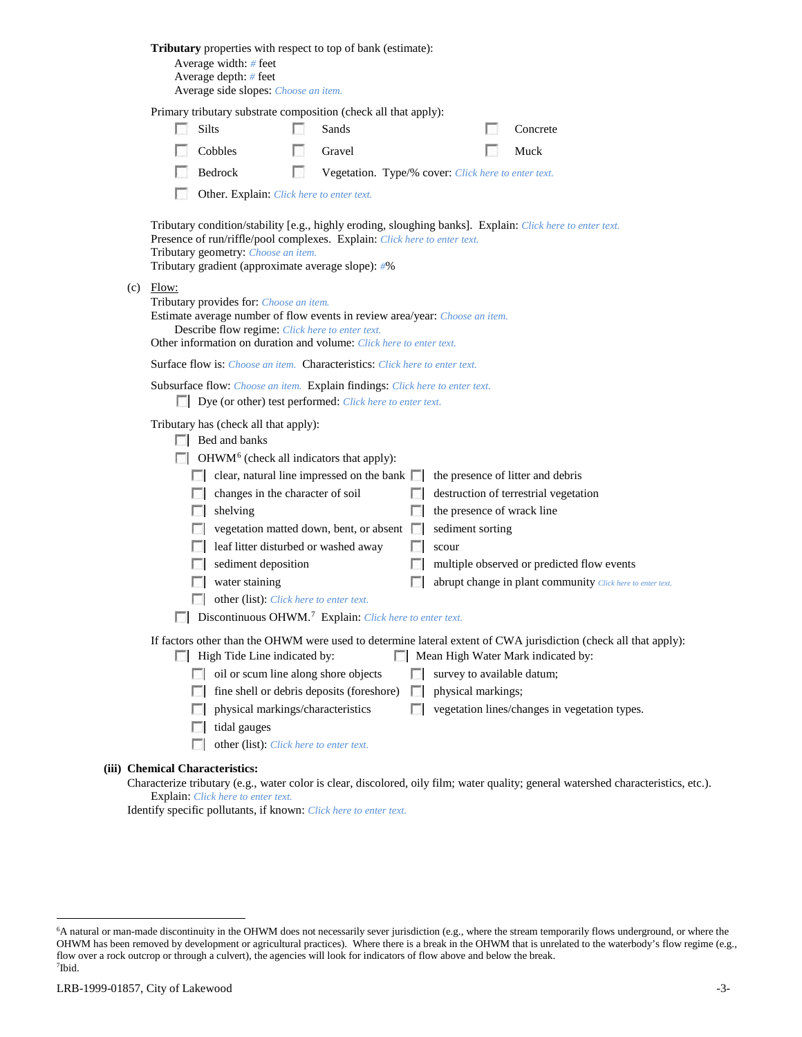|              | <b>Tributary</b> properties with respect to top of bank (estimate):<br>Average width: # feet<br>Average depth: # feet<br>Average side slopes: Choose an item.                                                                                    |        |                                                     |               |                                   |                                                                                                                                                        |
|--------------|--------------------------------------------------------------------------------------------------------------------------------------------------------------------------------------------------------------------------------------------------|--------|-----------------------------------------------------|---------------|-----------------------------------|--------------------------------------------------------------------------------------------------------------------------------------------------------|
|              | Primary tributary substrate composition (check all that apply):                                                                                                                                                                                  |        |                                                     |               |                                   |                                                                                                                                                        |
|              | Silts                                                                                                                                                                                                                                            |        | Sands                                               |               |                                   | Concrete                                                                                                                                               |
|              | Cobbles                                                                                                                                                                                                                                          |        | Gravel                                              |               |                                   | Muck                                                                                                                                                   |
|              | Bedrock                                                                                                                                                                                                                                          | $\sim$ | Vegetation. Type/% cover: Click here to enter text. |               |                                   |                                                                                                                                                        |
|              | Other. Explain: Click here to enter text.                                                                                                                                                                                                        |        |                                                     |               |                                   |                                                                                                                                                        |
|              | Presence of run/riffle/pool complexes. Explain: Click here to enter text.<br>Tributary geometry: Choose an item.<br>Tributary gradient (approximate average slope): #%                                                                           |        |                                                     |               |                                   | Tributary condition/stability [e.g., highly eroding, sloughing banks]. Explain: Click here to enter text.                                              |
| Flow:<br>(c) | Tributary provides for: Choose an item.<br>Estimate average number of flow events in review area/year: Choose an item.<br>Describe flow regime: Click here to enter text.<br>Other information on duration and volume: Click here to enter text. |        |                                                     |               |                                   |                                                                                                                                                        |
|              | <b>Surface flow is:</b> Choose an item. <b>Characteristics:</b> Click here to enter text.                                                                                                                                                        |        |                                                     |               |                                   |                                                                                                                                                        |
|              | Subsurface flow: Choose an item. Explain findings: Click here to enter text.<br>Dye (or other) test performed: Click here to enter text.                                                                                                         |        |                                                     |               |                                   |                                                                                                                                                        |
|              | Tributary has (check all that apply):<br>Bed and banks<br>$\Box$ OHWM <sup>6</sup> (check all indicators that apply):                                                                                                                            |        |                                                     |               |                                   |                                                                                                                                                        |
|              | $\Box$ clear, natural line impressed on the bank $\Box$                                                                                                                                                                                          |        |                                                     |               | the presence of litter and debris |                                                                                                                                                        |
|              | changes in the character of soil<br>$\sim$                                                                                                                                                                                                       |        |                                                     | $\mathbb{R}$  |                                   | destruction of terrestrial vegetation                                                                                                                  |
|              | shelving                                                                                                                                                                                                                                         |        |                                                     | l I           | the presence of wrack line        |                                                                                                                                                        |
|              |                                                                                                                                                                                                                                                  |        | vegetation matted down, bent, or absent             | $\sim$        | sediment sorting                  |                                                                                                                                                        |
|              | leaf litter disturbed or washed away                                                                                                                                                                                                             |        |                                                     | F 1           | scour                             |                                                                                                                                                        |
|              | sediment deposition                                                                                                                                                                                                                              |        |                                                     | $\sim$        |                                   | multiple observed or predicted flow events                                                                                                             |
|              | water staining                                                                                                                                                                                                                                   |        |                                                     |               |                                   | abrupt change in plant community Click here to enter text.                                                                                             |
|              | other (list): Click here to enter text.<br><b>Discontinuous OHWM.</b> <sup>7</sup> Explain: Click here to enter text.                                                                                                                            |        |                                                     |               |                                   |                                                                                                                                                        |
|              | High Tide Line indicated by:                                                                                                                                                                                                                     |        |                                                     |               |                                   | If factors other than the OHWM were used to determine lateral extent of CWA jurisdiction (check all that apply):<br>Mean High Water Mark indicated by: |
|              | oil or scum line along shore objects<br><b>ISLE</b>                                                                                                                                                                                              |        |                                                     | <b>FOR</b>    | survey to available datum;        |                                                                                                                                                        |
|              |                                                                                                                                                                                                                                                  |        | fine shell or debris deposits (foreshore)           | $\mathcal{L}$ | physical markings;                |                                                                                                                                                        |
|              | physical markings/characteristics                                                                                                                                                                                                                |        |                                                     | п             |                                   | vegetation lines/changes in vegetation types.                                                                                                          |
|              | tidal gauges                                                                                                                                                                                                                                     |        |                                                     |               |                                   |                                                                                                                                                        |
|              | other (list): Click here to enter text.<br>LЗ                                                                                                                                                                                                    |        |                                                     |               |                                   |                                                                                                                                                        |
|              | (iii) Chemical Characteristics:                                                                                                                                                                                                                  |        |                                                     |               |                                   |                                                                                                                                                        |
|              |                                                                                                                                                                                                                                                  |        |                                                     |               |                                   | Characterize tributary (e.g., water color is clear, discolored, oily film; water quality; general watershed characteristics, etc.).                    |

Explain: *Click here to enter text.* Identify specific pollutants, if known: *Click here to enter text.*

<span id="page-2-1"></span><span id="page-2-0"></span> <sup>6</sup> <sup>6</sup>A natural or man-made discontinuity in the OHWM does not necessarily sever jurisdiction (e.g., where the stream temporarily flows underground, or where the OHWM has been removed by development or agricultural practices). Where there is a break in the OHWM that is unrelated to the waterbody's flow regime (e.g., flow over a rock outcrop or through a culvert), the agencies will look for indicators of flow above and below the break. 7 Ibid.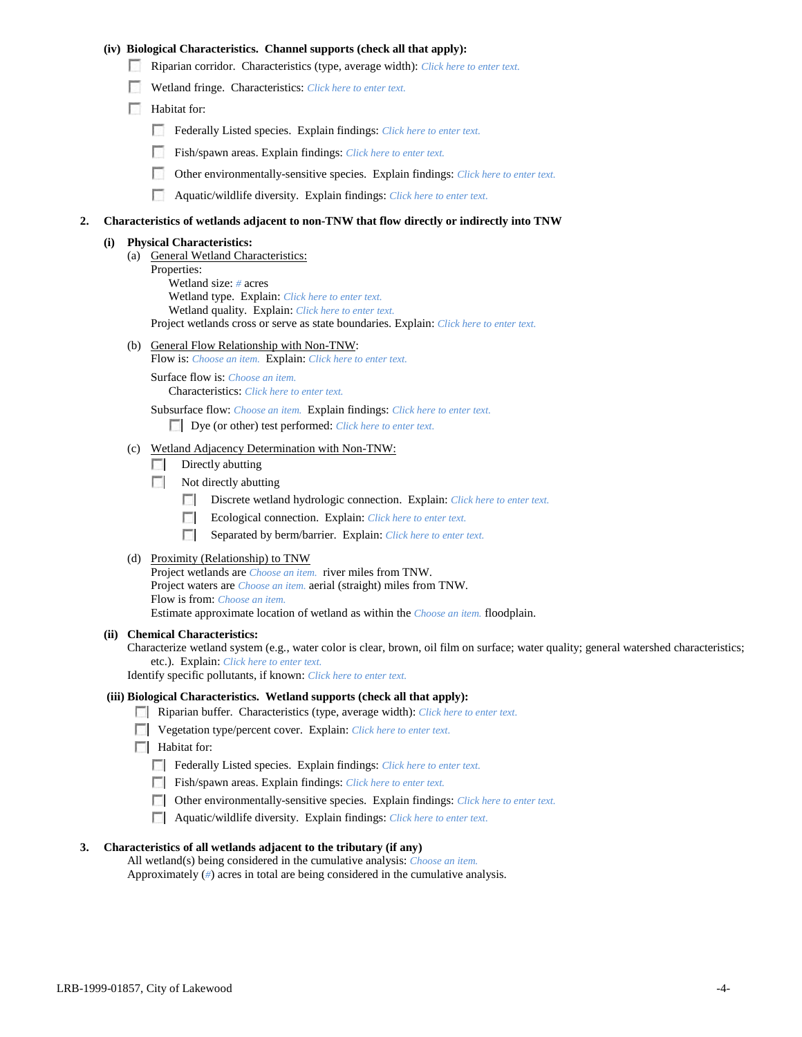## **(iv) Biological Characteristics. Channel supports (check all that apply):**

- Riparian corridor. Characteristics (type, average width): *Click here to enter text.*
- Wetland fringe. Characteristics: *Click here to enter text.*
- Habitat for:
	- Federally Listed species. Explain findings: *Click here to enter text*.
	- Fish/spawn areas. Explain findings: *Click here to enter text.*
	- Other environmentally-sensitive species. Explain findings: *Click here to enter text.*
	- **1999** Aquatic/wildlife diversity. Explain findings: *Click here to enter text.*

#### **2. Characteristics of wetlands adjacent to non-TNW that flow directly or indirectly into TNW**

#### **(i) Physical Characteristics:**

- (a) General Wetland Characteristics:
	- Properties:

Wetland size: *#* acres Wetland type. Explain: *Click here to enter text.*

Wetland quality. Explain: *Click here to enter text.*

Project wetlands cross or serve as state boundaries. Explain: *Click here to enter text.*

(b) General Flow Relationship with Non-TNW: Flow is: *Choose an item.* Explain: *Click here to enter text.*

Surface flow is: *Choose an item.* Characteristics: *Click here to enter text.*

Subsurface flow: *Choose an item.* Explain findings: *Click here to enter text.*

Dye (or other) test performed: *Click here to enter text.*

#### (c) Wetland Adjacency Determination with Non-TNW:

- $\Box$  Directly abutting
- Not directly abutting
	- 100 Discrete wetland hydrologic connection. Explain: *Click here to enter text.*
	- Ecological connection. Explain: *Click here to enter text.* **The Contract of the Contract of the Contract of the Contract of the Contract of the Contract of the Contract of the Contract of the Contract of the Contract of the Contract of the Contract of the Contract of the Contract**
	- **The Contract of the Contract of the Contract of the Contract of the Contract of the Contract of the Contract of the Contract of the Contract of the Contract of the Contract of the Contract of the Contract of the Contract** Separated by berm/barrier. Explain: *Click here to enter text.*
- (d) Proximity (Relationship) to TNW

Project wetlands are *Choose an item.* river miles from TNW. Project waters are *Choose an item.* aerial (straight) miles from TNW. Flow is from: *Choose an item.* Estimate approximate location of wetland as within the *Choose an item.* floodplain.

#### **(ii) Chemical Characteristics:**

Characterize wetland system (e.g., water color is clear, brown, oil film on surface; water quality; general watershed characteristics; etc.). Explain: *Click here to enter text.*

Identify specific pollutants, if known: *Click here to enter text.*

### **(iii) Biological Characteristics. Wetland supports (check all that apply):**

- Riparian buffer. Characteristics (type, average width): *Click here to enter text.*
- Vegetation type/percent cover. Explain: *Click here to enter text.*
- **Habitat for:** 
	- Federally Listed species. Explain findings: *Click here to enter text*.
	- Fish/spawn areas. Explain findings: *Click here to enter text.*
	- Other environmentally-sensitive species. Explain findings: *Click here to enter text.*
	- Aquatic/wildlife diversity. Explain findings: *Click here to enter text.*

#### **3. Characteristics of all wetlands adjacent to the tributary (if any)**

All wetland(s) being considered in the cumulative analysis: *Choose an item.* Approximately (*#*) acres in total are being considered in the cumulative analysis.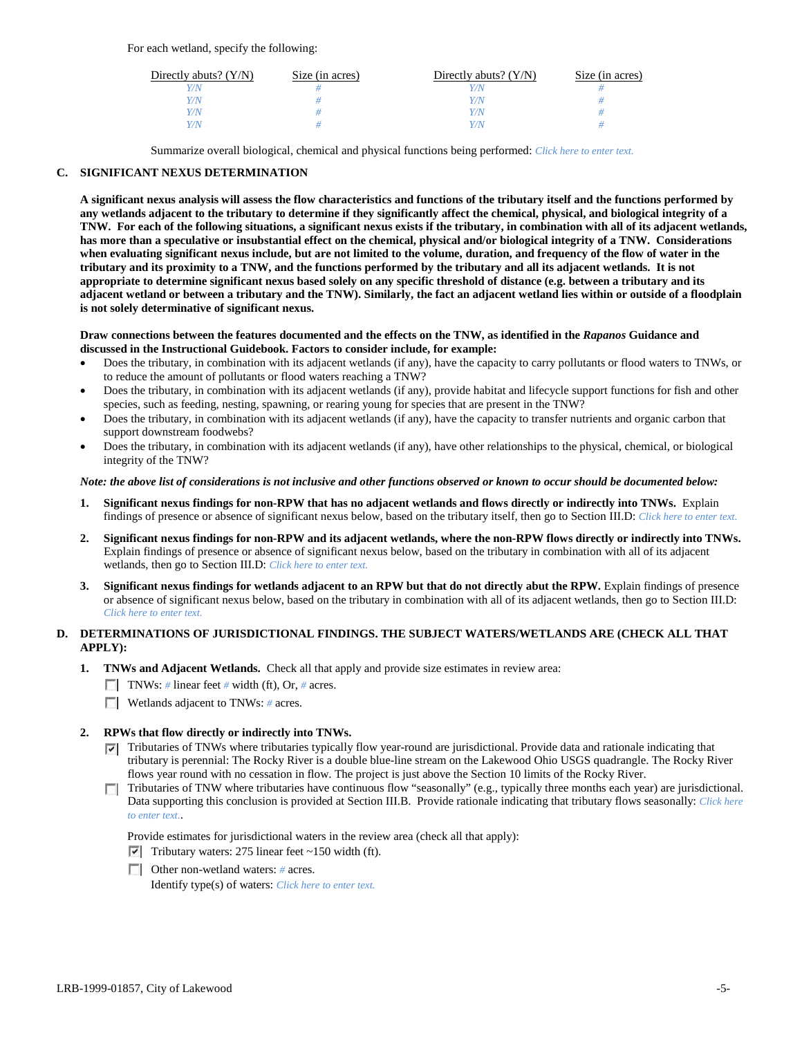For each wetland, specify the following:

| Directly abuts? $(Y/N)$ | Size (in acres) | Directly abuts? $(Y/N)$ | Size (in acres) |
|-------------------------|-----------------|-------------------------|-----------------|
| Y/N                     |                 |                         |                 |
| Y/N                     |                 | Y/N                     |                 |
| Y/N                     |                 | Y/N                     |                 |
| Y/N                     |                 | Y/N                     |                 |

Summarize overall biological, chemical and physical functions being performed: *Click here to enter text.*

## **C. SIGNIFICANT NEXUS DETERMINATION**

**A significant nexus analysis will assess the flow characteristics and functions of the tributary itself and the functions performed by any wetlands adjacent to the tributary to determine if they significantly affect the chemical, physical, and biological integrity of a TNW. For each of the following situations, a significant nexus exists if the tributary, in combination with all of its adjacent wetlands, has more than a speculative or insubstantial effect on the chemical, physical and/or biological integrity of a TNW. Considerations when evaluating significant nexus include, but are not limited to the volume, duration, and frequency of the flow of water in the tributary and its proximity to a TNW, and the functions performed by the tributary and all its adjacent wetlands. It is not appropriate to determine significant nexus based solely on any specific threshold of distance (e.g. between a tributary and its adjacent wetland or between a tributary and the TNW). Similarly, the fact an adjacent wetland lies within or outside of a floodplain is not solely determinative of significant nexus.** 

#### **Draw connections between the features documented and the effects on the TNW, as identified in the** *Rapanos* **Guidance and discussed in the Instructional Guidebook. Factors to consider include, for example:**

- Does the tributary, in combination with its adjacent wetlands (if any), have the capacity to carry pollutants or flood waters to TNWs, or to reduce the amount of pollutants or flood waters reaching a TNW?
- Does the tributary, in combination with its adjacent wetlands (if any), provide habitat and lifecycle support functions for fish and other species, such as feeding, nesting, spawning, or rearing young for species that are present in the TNW?
- Does the tributary, in combination with its adjacent wetlands (if any), have the capacity to transfer nutrients and organic carbon that support downstream foodwebs?
- Does the tributary, in combination with its adjacent wetlands (if any), have other relationships to the physical, chemical, or biological integrity of the TNW?

## *Note: the above list of considerations is not inclusive and other functions observed or known to occur should be documented below:*

- **1. Significant nexus findings for non-RPW that has no adjacent wetlands and flows directly or indirectly into TNWs.** Explain findings of presence or absence of significant nexus below, based on the tributary itself, then go to Section III.D: *Click here to enter text.*
- **2. Significant nexus findings for non-RPW and its adjacent wetlands, where the non-RPW flows directly or indirectly into TNWs.**  Explain findings of presence or absence of significant nexus below, based on the tributary in combination with all of its adjacent wetlands, then go to Section III.D: *Click here to enter text.*
- **3. Significant nexus findings for wetlands adjacent to an RPW but that do not directly abut the RPW.** Explain findings of presence or absence of significant nexus below, based on the tributary in combination with all of its adjacent wetlands, then go to Section III.D: *Click here to enter text.*

## **D. DETERMINATIONS OF JURISDICTIONAL FINDINGS. THE SUBJECT WATERS/WETLANDS ARE (CHECK ALL THAT APPLY):**

- **1. TNWs and Adjacent Wetlands.** Check all that apply and provide size estimates in review area:
	- TNWs: *#* linear feet *#* width (ft), Or, *#* acres.
	- **Wetlands adjacent to TNWs: # acres.**

## **2. RPWs that flow directly or indirectly into TNWs.**

- Tributaries of TNWs where tributaries typically flow year-round are jurisdictional. Provide data and rationale indicating that tributary is perennial: The Rocky River is a double blue-line stream on the Lakewood Ohio USGS quadrangle. The Rocky River flows year round with no cessation in flow. The project is just above the Section 10 limits of the Rocky River.
- Tributaries of TNW where tributaries have continuous flow "seasonally" (e.g., typically three months each year) are jurisdictional. Data supporting this conclusion is provided at Section III.B. Provide rationale indicating that tributary flows seasonally: *Click here to enter text.*.

Provide estimates for jurisdictional waters in the review area (check all that apply):

- $\triangledown$  Tributary waters: 275 linear feet ~150 width (ft).
- Other non-wetland waters: # acres.

Identify type(s) of waters: *Click here to enter text.*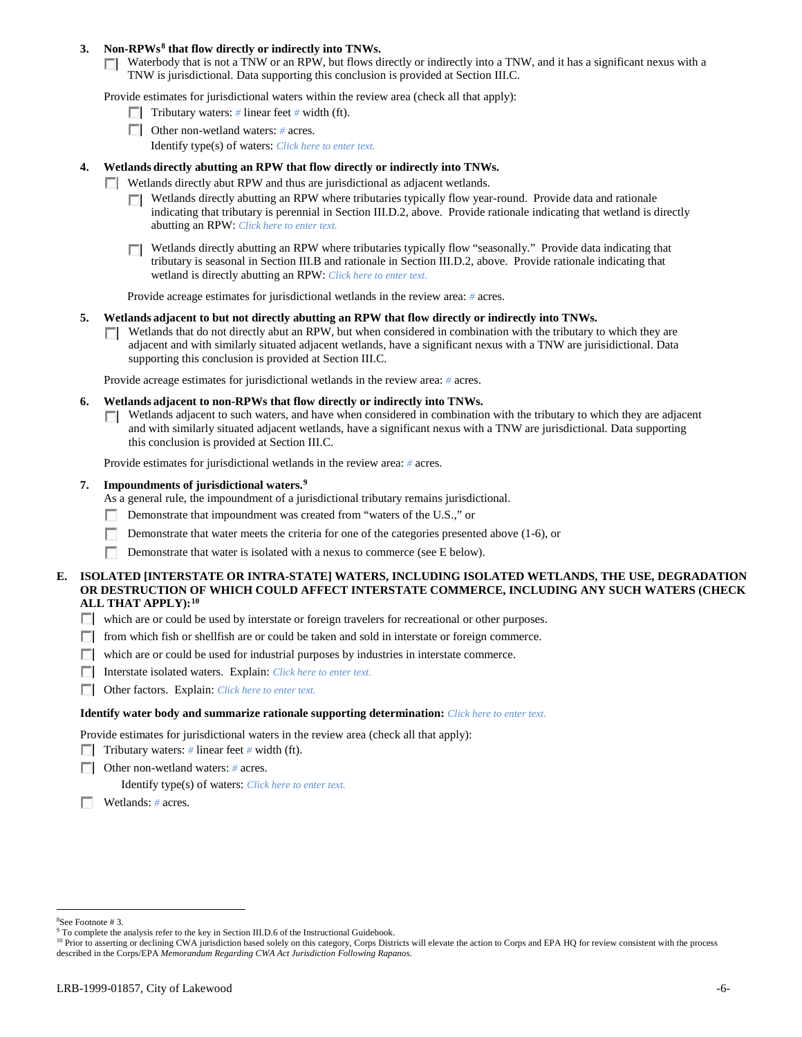### **3. Non-RPWs[8](#page-5-0) that flow directly or indirectly into TNWs.**

Waterbody that is not a TNW or an RPW, but flows directly or indirectly into a TNW, and it has a significant nexus with a TNW is jurisdictional. Data supporting this conclusion is provided at Section III.C.

Provide estimates for jurisdictional waters within the review area (check all that apply):

- **Tributary waters:** # linear feet # width (ft).
- Other non-wetland waters: *#* acres. Identify type(s) of waters: *Click here to enter text.*
- **4. Wetlands directly abutting an RPW that flow directly or indirectly into TNWs.**
	- **Wetlands directly abut RPW and thus are jurisdictional as adjacent wetlands.** 
		- $\Box$  Wetlands directly abutting an RPW where tributaries typically flow year-round. Provide data and rationale indicating that tributary is perennial in Section III.D.2, above. Provide rationale indicating that wetland is directly abutting an RPW: *Click here to enter text.*
		- Wetlands directly abutting an RPW where tributaries typically flow "seasonally." Provide data indicating that tributary is seasonal in Section III.B and rationale in Section III.D.2, above. Provide rationale indicating that wetland is directly abutting an RPW: *Click here to enter text.*

Provide acreage estimates for jurisdictional wetlands in the review area: *#* acres.

- **5. Wetlands adjacent to but not directly abutting an RPW that flow directly or indirectly into TNWs.**
	- $\Box$  Wetlands that do not directly abut an RPW, but when considered in combination with the tributary to which they are adjacent and with similarly situated adjacent wetlands, have a significant nexus with a TNW are jurisidictional. Data supporting this conclusion is provided at Section III.C.

Provide acreage estimates for jurisdictional wetlands in the review area: *#* acres.

- **6. Wetlands adjacent to non-RPWs that flow directly or indirectly into TNWs.** 
	- Wetlands adjacent to such waters, and have when considered in combination with the tributary to which they are adjacent  $\sim$ and with similarly situated adjacent wetlands, have a significant nexus with a TNW are jurisdictional. Data supporting this conclusion is provided at Section III.C.

Provide estimates for jurisdictional wetlands in the review area: *#* acres.

#### **7. Impoundments of jurisdictional waters. [9](#page-5-1)**

As a general rule, the impoundment of a jurisdictional tributary remains jurisdictional.

- Demonstrate that impoundment was created from "waters of the U.S.," or
- Demonstrate that water meets the criteria for one of the categories presented above (1-6), or
- n Demonstrate that water is isolated with a nexus to commerce (see E below).
- **E. ISOLATED [INTERSTATE OR INTRA-STATE] WATERS, INCLUDING ISOLATED WETLANDS, THE USE, DEGRADATION OR DESTRUCTION OF WHICH COULD AFFECT INTERSTATE COMMERCE, INCLUDING ANY SUCH WATERS (CHECK ALL THAT APPLY):[10](#page-5-2)**
	- which are or could be used by interstate or foreign travelers for recreational or other purposes.
	- from which fish or shellfish are or could be taken and sold in interstate or foreign commerce.
	- which are or could be used for industrial purposes by industries in interstate commerce.
	- Interstate isolated waters.Explain: *Click here to enter text.*
	- Other factors.Explain: *Click here to enter text.*

#### **Identify water body and summarize rationale supporting determination:** *Click here to enter text.*

Provide estimates for jurisdictional waters in the review area (check all that apply):

- Tributary waters: # linear feet # width (ft).
- Other non-wetland waters: *#* acres.

Identify type(s) of waters: *Click here to enter text.*

Wetlands: *#* acres.

 $\frac{1}{8}$ See Footnote # 3.

<span id="page-5-1"></span><span id="page-5-0"></span><sup>&</sup>lt;sup>9</sup> To complete the analysis refer to the key in Section III.D.6 of the Instructional Guidebook.

<span id="page-5-2"></span><sup>&</sup>lt;sup>10</sup> Prior to asserting or declining CWA jurisdiction based solely on this category, Corps Districts will elevate the action to Corps and EPA HQ for review consistent with the process described in the Corps/EPA *Memorandum Regarding CWA Act Jurisdiction Following Rapanos.*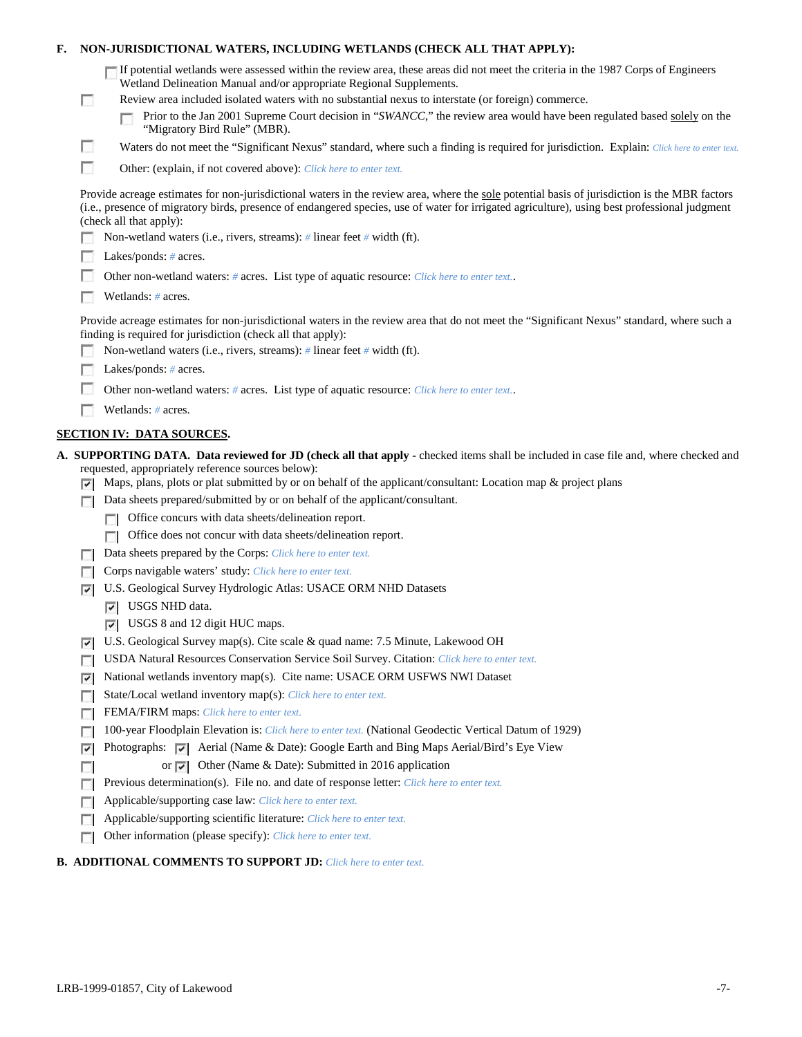| F. |        | NON-JURISDICTIONAL WATERS, INCLUDING WETLANDS (CHECK ALL THAT APPLY):                                                                                                                                                                                                                                                     |
|----|--------|---------------------------------------------------------------------------------------------------------------------------------------------------------------------------------------------------------------------------------------------------------------------------------------------------------------------------|
|    | $\Box$ | If potential wetlands were assessed within the review area, these areas did not meet the criteria in the 1987 Corps of Engineers<br>Wetland Delineation Manual and/or appropriate Regional Supplements.<br>Review area included isolated waters with no substantial nexus to interstate (or foreign) commerce.            |
|    |        | Prior to the Jan 2001 Supreme Court decision in "SWANCC," the review area would have been regulated based solely on the<br>"Migratory Bird Rule" (MBR).                                                                                                                                                                   |
|    | L.     | Waters do not meet the "Significant Nexus" standard, where such a finding is required for jurisdiction. Explain: Click here to enter text.                                                                                                                                                                                |
|    | п      | Other: (explain, if not covered above): Click here to enter text.                                                                                                                                                                                                                                                         |
|    |        | Provide acreage estimates for non-jurisdictional waters in the review area, where the sole potential basis of jurisdiction is the MBR factors<br>(i.e., presence of migratory birds, presence of endangered species, use of water for irrigated agriculture), using best professional judgment<br>(check all that apply): |
|    |        | Non-wetland waters (i.e., rivers, streams): # linear feet # width (ft).                                                                                                                                                                                                                                                   |
|    |        | Lakes/ponds: $# \, \text{acres.}$                                                                                                                                                                                                                                                                                         |
|    |        | Other non-wetland waters: # acres. List type of aquatic resource: Click here to enter text                                                                                                                                                                                                                                |
|    |        | Wetlands: # acres.                                                                                                                                                                                                                                                                                                        |
|    |        | Provide acreage estimates for non-jurisdictional waters in the review area that do not meet the "Significant Nexus" standard, where such a<br>finding is required for jurisdiction (check all that apply):                                                                                                                |
|    |        | Non-wetland waters (i.e., rivers, streams): $\#$ linear feet $\#$ width (ft).                                                                                                                                                                                                                                             |
|    |        | Lakes/ponds: $# \, \text{acres.}$                                                                                                                                                                                                                                                                                         |
|    |        | Other non-wetland waters: # acres. List type of aquatic resource: Click here to enter text                                                                                                                                                                                                                                |
|    |        | Wetlands: # acres.                                                                                                                                                                                                                                                                                                        |
|    |        | <b>SECTION IV: DATA SOURCES.</b>                                                                                                                                                                                                                                                                                          |
|    |        |                                                                                                                                                                                                                                                                                                                           |
|    | ▿      | A. SUPPORTING DATA. Data reviewed for JD (check all that apply - checked items shall be included in case file and, where checked and<br>requested, appropriately reference sources below):<br>Maps, plans, plots or plat submitted by or on behalf of the applicant/consultant: Location map & project plans              |
|    |        | Data sheets prepared/submitted by or on behalf of the applicant/consultant.                                                                                                                                                                                                                                               |
|    |        | Office concurs with data sheets/delineation report.                                                                                                                                                                                                                                                                       |
|    |        | Office does not concur with data sheets/delineation report.                                                                                                                                                                                                                                                               |
|    |        | Data sheets prepared by the Corps: Click here to enter text.                                                                                                                                                                                                                                                              |
|    |        | Corps navigable waters' study: Click here to enter text.                                                                                                                                                                                                                                                                  |
|    | ⊽      | U.S. Geological Survey Hydrologic Atlas: USACE ORM NHD Datasets                                                                                                                                                                                                                                                           |
|    |        | $ \overline{v} $ USGS NHD data.                                                                                                                                                                                                                                                                                           |
|    |        | $\triangledown$ USGS 8 and 12 digit HUC maps.                                                                                                                                                                                                                                                                             |
|    | ⊽      | U.S. Geological Survey map(s). Cite scale & quad name: 7.5 Minute, Lakewood OH                                                                                                                                                                                                                                            |
|    |        | USDA Natural Resources Conservation Service Soil Survey. Citation: Click here to enter text.                                                                                                                                                                                                                              |
|    | ⊽      | National wetlands inventory map(s). Cite name: USACE ORM USFWS NWI Dataset                                                                                                                                                                                                                                                |
|    | г      | State/Local wetland inventory map(s): Click here to enter text.                                                                                                                                                                                                                                                           |
|    | г      | FEMA/FIRM maps: Click here to enter text.                                                                                                                                                                                                                                                                                 |
|    |        | 100-year Floodplain Elevation is: Click here to enter text. (National Geodectic Vertical Datum of 1929)                                                                                                                                                                                                                   |
|    | ⊽      | Photographs: v   Aerial (Name & Date): Google Earth and Bing Maps Aerial/Bird's Eye View                                                                                                                                                                                                                                  |
|    | п      | or $\overline{\smile}$ Other (Name & Date): Submitted in 2016 application                                                                                                                                                                                                                                                 |
|    |        | Previous determination(s). File no. and date of response letter: Click here to enter text.<br>Applicable/supporting case law: Click here to enter text.                                                                                                                                                                   |
|    | Е      | Applicable/supporting scientific literature: Click here to enter text.                                                                                                                                                                                                                                                    |

# **B. ADDITIONAL COMMENTS TO SUPPORT JD:** *Click here to enter text.*